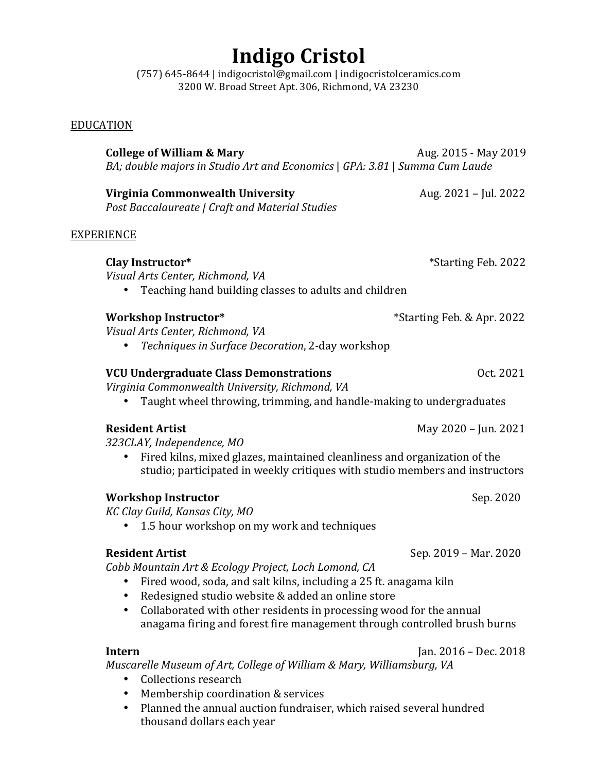# **Indigo Cristol**

(757) 645-8644 | indigocristol@gmail.com | indigocristolceramics.com 3200 W. Broad Street Apt. 306, Richmond, VA 23230

## EDUCATION

**College of William & Mary** Aug. 2015 - May 2019 *BA;* double majors in Studio Art and *Economics* | GPA: 3.81 | Summa Cum Laude **Virginia Commonwealth University** Aug. 2021 – Jul. 2022 *Post Baccalaureate | Craft and Material Studies* EXPERIENCE **Clay Instructor\*** \*Starting Feb. 2022 *Visual Arts Center, Richmond, VA* • Teaching hand building classes to adults and children **Workshop Instructor\*** \*Starting Feb. & Apr. 2022 *Visual Arts Center, Richmond, VA* • *Techniques in Surface Decoration*, 2-day workshop **VCU Undergraduate Class Demonstrations** *CCU Undergraduate Class Demonstrations Virginia Commonwealth University, Richmond, VA* • Taught wheel throwing, trimming, and handle-making to undergraduates **Resident Artist COLLEGE 2021** May 2020 – Jun. 2021 *323CLAY, Independence, MO* • Fired kilns, mixed glazes, maintained cleanliness and organization of the studio; participated in weekly critiques with studio members and instructors **Workshop Instructor** *Sep. 2020 KC Clay Guild, Kansas City, MO* • 1.5 hour workshop on my work and techniques **Resident Artist Contract Contract Contract Contract Contract Contract Contract Contract Contract Contract Contract Contract Contract Contract Contract Contract Contract Contract Contract Contract Contract Contract Contr** *Cobb Mountain Art & Ecology Project, Loch Lomond, CA* • Fired wood, soda, and salt kilns, including a 25 ft. anagama kiln • Redesigned studio website & added an online store • Collaborated with other residents in processing wood for the annual anagama firing and forest fire management through controlled brush burns **Intern Intern** *Ian.* **2016 – Dec. 2018** *Muscarelle Museum of Art, College of William & Mary, Williamsburg, VA* • Collections research

- Membership coordination & services
- Planned the annual auction fundraiser, which raised several hundred thousand dollars each year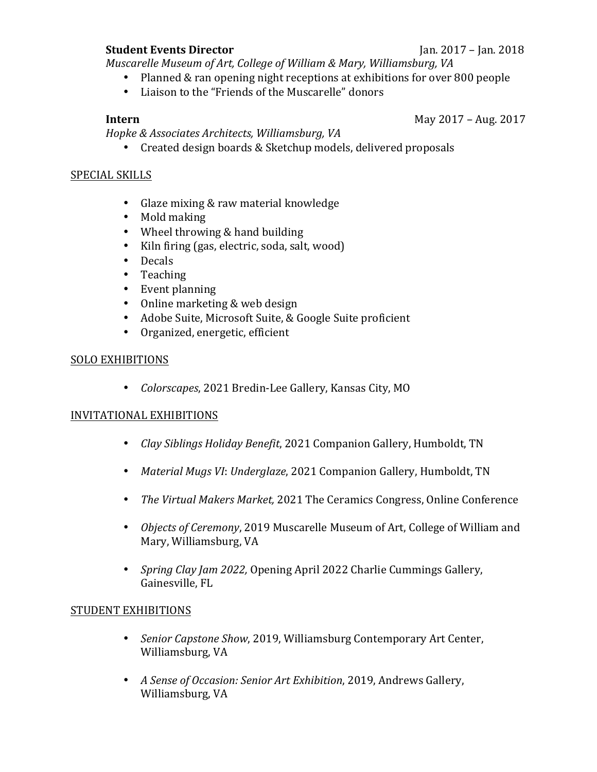#### **Student Events Director** Jan. 2017 – Jan. 2018

*Muscarelle Museum of Art, College of William & Mary, Williamsburg, VA* 

- Planned & ran opening night receptions at exhibitions for over 800 people
- Liaison to the "Friends of the Muscarelle" donors

**Intern May 2017** – Aug. 2017

*Hopke & Associates Architects, Williamsburg, VA*

• Created design boards & Sketchup models, delivered proposals

#### SPECIAL SKILLS

- Glaze mixing & raw material knowledge
- Mold making
- Wheel throwing  $&$  hand building
- Kiln firing (gas, electric, soda, salt, wood)
- Decals
- Teaching
- Event planning
- Online marketing  $&$  web design
- Adobe Suite, Microsoft Suite, & Google Suite proficient
- Organized, energetic, efficient

### SOLO EXHIBITIONS

• *Colorscapes*, 2021 Bredin-Lee Gallery, Kansas City, MO

### INVITATIONAL EXHIBITIONS

- *Clay Siblings Holiday Benefit*, 2021 Companion Gallery, Humboldt, TN
- *Material Mugs VI: Underglaze,* 2021 Companion Gallery, Humboldt, TN
- *The Virtual Makers Market,* 2021 The Ceramics Congress, Online Conference
- *Objects of Ceremony*, 2019 Muscarelle Museum of Art, College of William and Mary, Williamsburg, VA
- *Spring Clay Jam 2022, Opening April 2022 Charlie Cummings Gallery,* Gainesville, FL

### STUDENT EXHIBITIONS

- *Senior Capstone Show,* 2019, Williamsburg Contemporary Art Center, Williamsburg, VA
- A Sense of Occasion: Senior Art Exhibition, 2019, Andrews Gallery, Williamsburg, VA